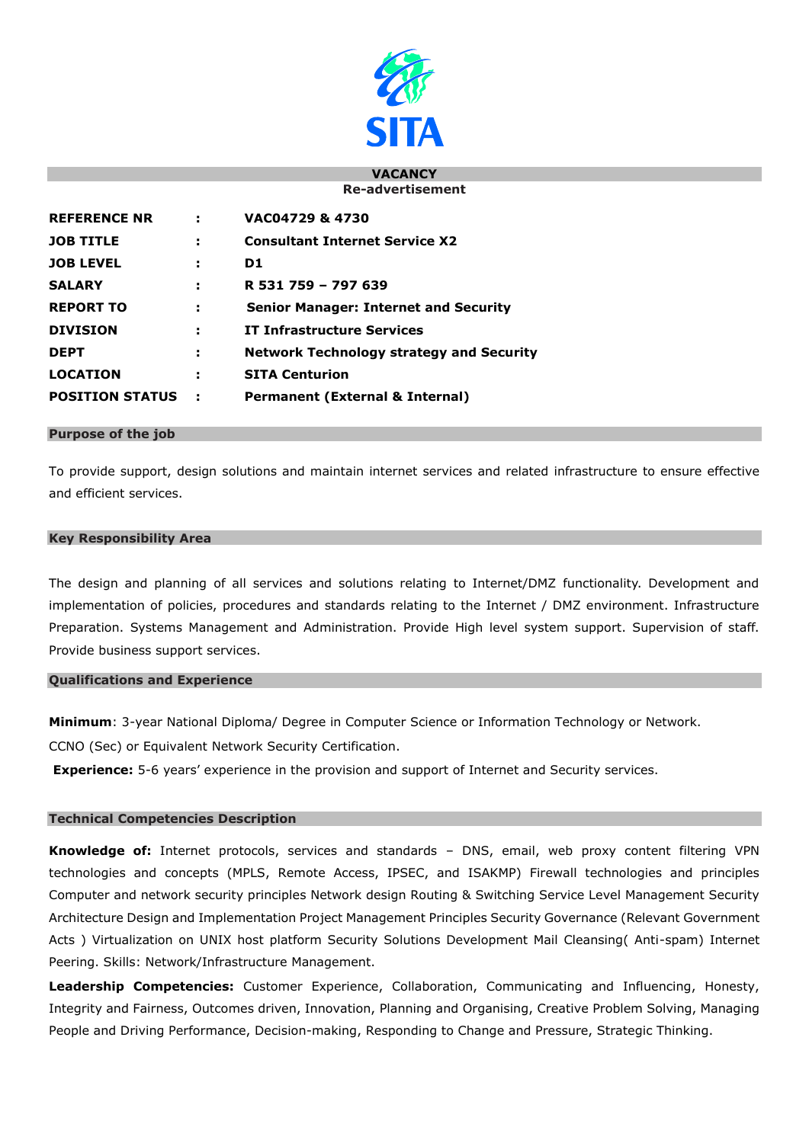

#### **VACANCY Re-advertisement**

| <b>REFERENCE NR</b>    |   | VAC04729 & 4730                                 |
|------------------------|---|-------------------------------------------------|
|                        |   |                                                 |
| <b>JOB TITLE</b>       | э | <b>Consultant Internet Service X2</b>           |
| <b>JOB LEVEL</b>       | ÷ | D1                                              |
| <b>SALARY</b>          |   | R 531 759 - 797 639                             |
| <b>REPORT TO</b>       | Е | <b>Senior Manager: Internet and Security</b>    |
| <b>DIVISION</b>        | ÷ | <b>IT Infrastructure Services</b>               |
| <b>DEPT</b>            | Е | <b>Network Technology strategy and Security</b> |
| <b>LOCATION</b>        | Е | <b>SITA Centurion</b>                           |
| <b>POSITION STATUS</b> |   | Permanent (External & Internal)                 |

#### **Purpose of the job**

To provide support, design solutions and maintain internet services and related infrastructure to ensure effective and efficient services.

## **Key Responsibility Area**

The design and planning of all services and solutions relating to Internet/DMZ functionality. Development and implementation of policies, procedures and standards relating to the Internet / DMZ environment. Infrastructure Preparation. Systems Management and Administration. Provide High level system support. Supervision of staff. Provide business support services.

### **Qualifications and Experience**

**Minimum**: 3-year National Diploma/ Degree in Computer Science or Information Technology or Network.

CCNO (Sec) or Equivalent Network Security Certification.

**Experience:** 5-6 years' experience in the provision and support of Internet and Security services.

#### **Technical Competencies Description**

**Knowledge of:** Internet protocols, services and standards – DNS, email, web proxy content filtering VPN technologies and concepts (MPLS, Remote Access, IPSEC, and ISAKMP) Firewall technologies and principles Computer and network security principles Network design Routing & Switching Service Level Management Security Architecture Design and Implementation Project Management Principles Security Governance (Relevant Government Acts ) Virtualization on UNIX host platform Security Solutions Development Mail Cleansing( Anti-spam) Internet Peering. Skills: Network/Infrastructure Management.

**Leadership Competencies:** Customer Experience, Collaboration, Communicating and Influencing, Honesty, Integrity and Fairness, Outcomes driven, Innovation, Planning and Organising, Creative Problem Solving, Managing People and Driving Performance, Decision-making, Responding to Change and Pressure, Strategic Thinking.